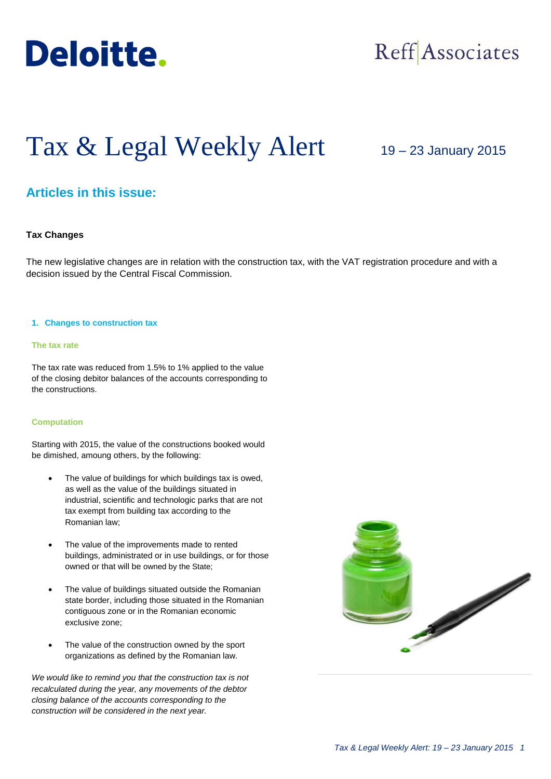

## Reff Associates

# Tax & Legal Weekly Alert

19 – 23 January 2015

### **Articles in this issue:**

#### **Tax Changes**

The new legislative changes are in relation with the construction tax, with the VAT registration procedure and with a decision issued by the Central Fiscal Commission.

#### **1. Changes to construction tax**

#### **The tax rate**

The tax rate was reduced from 1.5% to 1% applied to the value of the closing debitor balances of the accounts corresponding to the constructions.

#### **Computation**

Starting with 2015, the value of the constructions booked would be dimished, amoung others, by the following:

- The value of buildings for which buildings tax is owed, as well as the value of the buildings situated in industrial, scientific and technologic parks that are not tax exempt from building tax according to the Romanian law;
- The value of the improvements made to rented buildings, administrated or in use buildings, or for those owned or that will be owned by the State;
- The value of buildings situated outside the Romanian state border, including those situated in the Romanian contiguous zone or in the Romanian economic exclusive zone;
- The value of the construction owned by the sport organizations as defined by the Romanian law.

*We would like to remind you that the construction tax is not recalculated during the year, any movements of the debtor closing balance of the accounts corresponding to the construction will be considered in the next year.* 

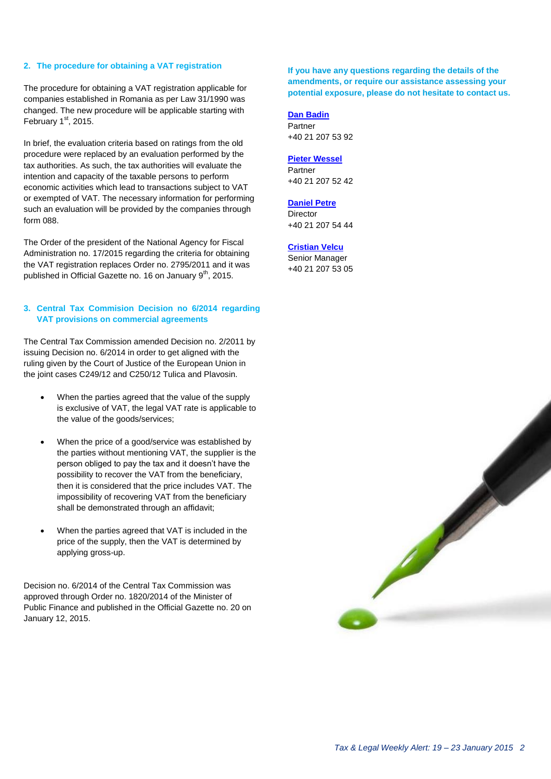#### **2. The procedure for obtaining a VAT registration**

The procedure for obtaining a VAT registration applicable for companies established in Romania as per Law 31/1990 was changed. The new procedure will be applicable starting with February  $1<sup>st</sup>$ , 2015.

In brief, the evaluation criteria based on ratings from the old procedure were replaced by an evaluation performed by the tax authorities. As such, the tax authorities will evaluate the intention and capacity of the taxable persons to perform economic activities which lead to transactions subject to VAT or exempted of VAT. The necessary information for performing such an evaluation will be provided by the companies through form 088.

The Order of the president of the National Agency for Fiscal Administration no. 17/2015 regarding the criteria for obtaining the VAT registration replaces Order no. 2795/2011 and it was published in Official Gazette no. 16 on January  $9<sup>th</sup>$ , 2015.

#### **3. Central Tax Commision Decision no 6/2014 regarding VAT provisions on commercial agreements**

The Central Tax Commission amended Decision no. 2/2011 by issuing Decision no. 6/2014 in order to get aligned with the ruling given by the Court of Justice of the European Union in the joint cases C249/12 and C250/12 Tulica and Plavosin.

- When the parties agreed that the value of the supply is exclusive of VAT, the legal VAT rate is applicable to the value of the goods/services;
- When the price of a good/service was established by the parties without mentioning VAT, the supplier is the person obliged to pay the tax and it doesn't have the possibility to recover the VAT from the beneficiary, then it is considered that the price includes VAT. The impossibility of recovering VAT from the beneficiary shall be demonstrated through an affidavit;
- When the parties agreed that VAT is included in the price of the supply, then the VAT is determined by applying gross-up.

Decision no. 6/2014 of the Central Tax Commission was approved through Order no. 1820/2014 of the Minister of Public Finance and published in the Official Gazette no. 20 on January 12, 2015.

**If you have any questions regarding the details of the amendments, or require our assistance assessing your potential exposure, please do not hesitate to contact us.**

**[Dan Badin](mailto:dbadin@deloittece.com)** Partner +40 21 207 53 92

#### **[Pieter Wessel](mailto:pwessel@deloittece.com)**

Partner +40 21 207 52 42

#### **[Daniel Petre](mailto:dpetre@deloittece.com)**

**Director** +40 21 207 54 44

#### **[Cristian Velcu](mailto:cvelcu@deloittece.com)**

Senior Manager +40 21 207 53 05